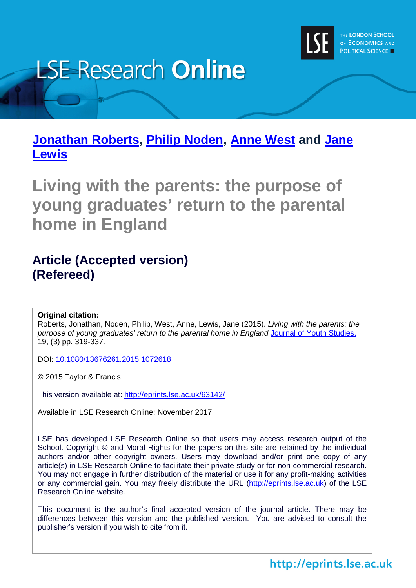

# **LSE Research Online**

**[Jonathan Roberts,](http://www.lse.ac.uk/researchAndExpertise/Experts/profile.aspx?KeyValue=j.j.g.roberts@lse.ac.uk) [Philip Noden,](http://www.lse.ac.uk/researchAndExpertise/Experts/profile.aspx?KeyValue=p.noden@lse.ac.uk) [Anne West](http://www.lse.ac.uk/researchAndExpertise/Experts/profile.aspx?KeyValue=a.west@lse.ac.uk) and [Jane](http://www.lse.ac.uk/researchAndExpertise/Experts/profile.aspx?KeyValue=j.lewis@lse.ac.uk)  [Lewis](http://www.lse.ac.uk/researchAndExpertise/Experts/profile.aspx?KeyValue=j.lewis@lse.ac.uk)**

**Living with the parents: the purpose of young graduates' return to the parental home in England**

# **Article (Accepted version) (Refereed)**

#### **Original citation:**

Roberts, Jonathan, Noden, Philip, West, Anne, Lewis, Jane (2015). *Living with the parents: the purpose of young graduates' return to the parental home in England* [Journal of Youth Studies.](http://www.tandfonline.com/loi/cjys20)  19, (3) pp. 319-337.

DOI: [10.1080/13676261.2015.1072618](http://dx.doi.org/10.1080/13676261.2015.1072618)

© 2015 Taylor & Francis

This version available at:<http://eprints.lse.ac.uk/63142/>

Available in LSE Research Online: November 2017

LSE has developed LSE Research Online so that users may access research output of the School. Copyright © and Moral Rights for the papers on this site are retained by the individual authors and/or other copyright owners. Users may download and/or print one copy of any article(s) in LSE Research Online to facilitate their private study or for non-commercial research. You may not engage in further distribution of the material or use it for any profit-making activities or any commercial gain. You may freely distribute the URL (http://eprints.lse.ac.uk) of the LSE Research Online website.

This document is the author's final accepted version of the journal article. There may be differences between this version and the published version. You are advised to consult the publisher's version if you wish to cite from it.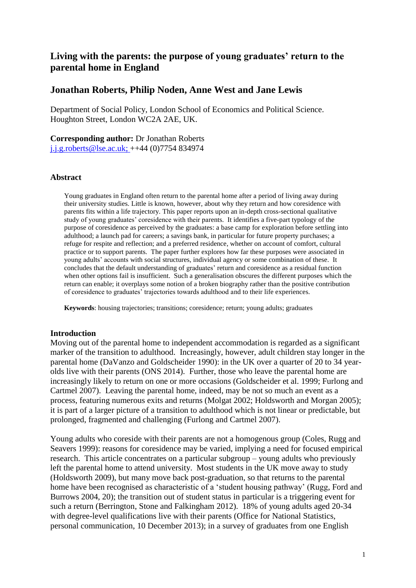## **Living with the parents: the purpose of young graduates' return to the parental home in England**

### **Jonathan Roberts, Philip Noden, Anne West and Jane Lewis**

Department of Social Policy, London School of Economics and Political Science. Houghton Street, London WC2A 2AE, UK.

**Corresponding author:** Dr Jonathan Roberts

[j.j.g.roberts@lse.ac.uk;](mailto:j.j.g.roberts@lse.ac.uk) ++44 (0)7754 834974

#### **Abstract**

Young graduates in England often return to the parental home after a period of living away during their university studies. Little is known, however, about why they return and how coresidence with parents fits within a life trajectory. This paper reports upon an in-depth cross-sectional qualitative study of young graduates' coresidence with their parents. It identifies a five-part typology of the purpose of coresidence as perceived by the graduates: a base camp for exploration before settling into adulthood; a launch pad for careers; a savings bank, in particular for future property purchases; a refuge for respite and reflection; and a preferred residence, whether on account of comfort, cultural practice or to support parents. The paper further explores how far these purposes were associated in young adults' accounts with social structures, individual agency or some combination of these. It concludes that the default understanding of graduates' return and coresidence as a residual function when other options fail is insufficient. Such a generalisation obscures the different purposes which the return can enable; it overplays some notion of a broken biography rather than the positive contribution of coresidence to graduates' trajectories towards adulthood and to their life experiences.

**Keywords**: housing trajectories; transitions; coresidence; return; young adults; graduates

#### **Introduction**

Moving out of the parental home to independent accommodation is regarded as a significant marker of the transition to adulthood. Increasingly, however, adult children stay longer in the parental home (DaVanzo and Goldscheider 1990): in the UK over a quarter of 20 to 34 yearolds live with their parents (ONS 2014). Further, those who leave the parental home are increasingly likely to return on one or more occasions (Goldscheider et al. 1999; Furlong and Cartmel 2007). Leaving the parental home, indeed, may be not so much an event as a process, featuring numerous exits and returns (Molgat 2002; Holdsworth and Morgan 2005); it is part of a larger picture of a transition to adulthood which is not linear or predictable, but prolonged, fragmented and challenging (Furlong and Cartmel 2007).

Young adults who coreside with their parents are not a homogenous group (Coles, Rugg and Seavers 1999): reasons for coresidence may be varied, implying a need for focused empirical research. This article concentrates on a particular subgroup – young adults who previously left the parental home to attend university. Most students in the UK move away to study (Holdsworth 2009), but many move back post-graduation, so that returns to the parental home have been recognised as characteristic of a 'student housing pathway' (Rugg, Ford and Burrows 2004, 20); the transition out of student status in particular is a triggering event for such a return (Berrington, Stone and Falkingham 2012). 18% of young adults aged 20-34 with degree-level qualifications live with their parents (Office for National Statistics, personal communication, 10 December 2013); in a survey of graduates from one English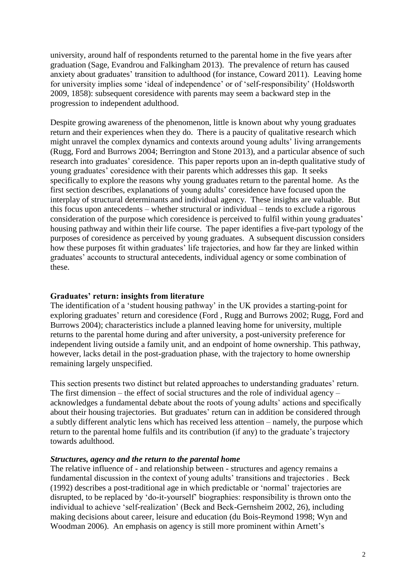university, around half of respondents returned to the parental home in the five years after graduation (Sage, Evandrou and Falkingham 2013). The prevalence of return has caused anxiety about graduates' transition to adulthood (for instance, Coward 2011). Leaving home for university implies some 'ideal of independence' or of 'self-responsibility' (Holdsworth 2009, 1858): subsequent coresidence with parents may seem a backward step in the progression to independent adulthood.

Despite growing awareness of the phenomenon, little is known about why young graduates return and their experiences when they do. There is a paucity of qualitative research which might unravel the complex dynamics and contexts around young adults' living arrangements (Rugg, Ford and Burrows 2004; Berrington and Stone 2013), and a particular absence of such research into graduates' coresidence. This paper reports upon an in-depth qualitative study of young graduates' coresidence with their parents which addresses this gap. It seeks specifically to explore the reasons why young graduates return to the parental home. As the first section describes, explanations of young adults' coresidence have focused upon the interplay of structural determinants and individual agency. These insights are valuable. But this focus upon antecedents – whether structural or individual – tends to exclude a rigorous consideration of the purpose which coresidence is perceived to fulfil within young graduates' housing pathway and within their life course. The paper identifies a five-part typology of the purposes of coresidence as perceived by young graduates. A subsequent discussion considers how these purposes fit within graduates' life trajectories, and how far they are linked within graduates' accounts to structural antecedents, individual agency or some combination of these.

#### **Graduates' return: insights from literature**

The identification of a 'student housing pathway' in the UK provides a starting-point for exploring graduates' return and coresidence (Ford , Rugg and Burrows 2002; Rugg, Ford and Burrows 2004); characteristics include a planned leaving home for university, multiple returns to the parental home during and after university, a post-university preference for independent living outside a family unit, and an endpoint of home ownership. This pathway, however, lacks detail in the post-graduation phase, with the trajectory to home ownership remaining largely unspecified.

This section presents two distinct but related approaches to understanding graduates' return. The first dimension – the effect of social structures and the role of individual agency – acknowledges a fundamental debate about the roots of young adults' actions and specifically about their housing trajectories. But graduates' return can in addition be considered through a subtly different analytic lens which has received less attention – namely, the purpose which return to the parental home fulfils and its contribution (if any) to the graduate's trajectory towards adulthood.

#### *Structures, agency and the return to the parental home*

The relative influence of - and relationship between - structures and agency remains a fundamental discussion in the context of young adults' transitions and trajectories . Beck (1992) describes a post-traditional age in which predictable or 'normal' trajectories are disrupted, to be replaced by 'do-it-yourself' biographies: responsibility is thrown onto the individual to achieve 'self-realization' (Beck and Beck-Gernsheim 2002, 26), including making decisions about career, leisure and education (du Bois-Reymond 1998; Wyn and Woodman 2006). An emphasis on agency is still more prominent within Arnett's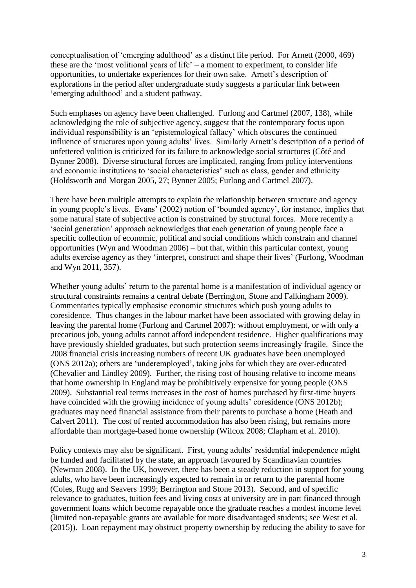conceptualisation of 'emerging adulthood' as a distinct life period. For Arnett (2000, 469) these are the 'most volitional years of life' – a moment to experiment, to consider life opportunities, to undertake experiences for their own sake. Arnett's description of explorations in the period after undergraduate study suggests a particular link between 'emerging adulthood' and a student pathway.

Such emphases on agency have been challenged. Furlong and Cartmel (2007, 138), while acknowledging the role of subjective agency, suggest that the contemporary focus upon individual responsibility is an 'epistemological fallacy' which obscures the continued influence of structures upon young adults' lives. Similarly Arnett's description of a period of unfettered volition is criticized for its failure to acknowledge social structures (Côté and Bynner 2008). Diverse structural forces are implicated, ranging from policy interventions and economic institutions to 'social characteristics' such as class, gender and ethnicity (Holdsworth and Morgan 2005, 27; Bynner 2005; Furlong and Cartmel 2007).

There have been multiple attempts to explain the relationship between structure and agency in young people's lives. Evans' (2002) notion of 'bounded agency', for instance, implies that some natural state of subjective action is constrained by structural forces. More recently a 'social generation' approach acknowledges that each generation of young people face a specific collection of economic, political and social conditions which constrain and channel opportunities (Wyn and Woodman 2006) – but that, within this particular context, young adults exercise agency as they 'interpret, construct and shape their lives' (Furlong, Woodman and Wyn 2011, 357).

Whether young adults' return to the parental home is a manifestation of individual agency or structural constraints remains a central debate (Berrington, Stone and Falkingham 2009). Commentaries typically emphasise economic structures which push young adults to coresidence. Thus changes in the labour market have been associated with growing delay in leaving the parental home (Furlong and Cartmel 2007): without employment, or with only a precarious job, young adults cannot afford independent residence. Higher qualifications may have previously shielded graduates, but such protection seems increasingly fragile. Since the 2008 financial crisis increasing numbers of recent UK graduates have been unemployed (ONS 2012a); others are 'underemployed', taking jobs for which they are over-educated (Chevalier and Lindley 2009). Further, the rising cost of housing relative to income means that home ownership in England may be prohibitively expensive for young people (ONS 2009). Substantial real terms increases in the cost of homes purchased by first-time buyers have coincided with the growing incidence of young adults' coresidence (ONS 2012b); graduates may need financial assistance from their parents to purchase a home (Heath and Calvert 2011). The cost of rented accommodation has also been rising, but remains more affordable than mortgage-based home ownership (Wilcox 2008; Clapham et al. 2010).

Policy contexts may also be significant. First, young adults' residential independence might be funded and facilitated by the state, an approach favoured by Scandinavian countries (Newman 2008). In the UK, however, there has been a steady reduction in support for young adults, who have been increasingly expected to remain in or return to the parental home (Coles, Rugg and Seavers 1999; Berrington and Stone 2013). Second, and of specific relevance to graduates, tuition fees and living costs at university are in part financed through government loans which become repayable once the graduate reaches a modest income level (limited non-repayable grants are available for more disadvantaged students; see West et al. (2015)). Loan repayment may obstruct property ownership by reducing the ability to save for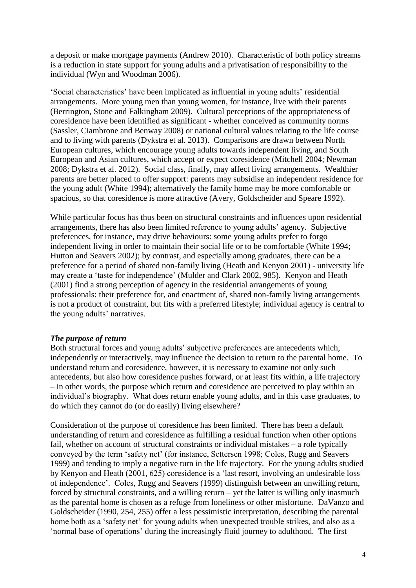a deposit or make mortgage payments (Andrew 2010). Characteristic of both policy streams is a reduction in state support for young adults and a privatisation of responsibility to the individual (Wyn and Woodman 2006).

'Social characteristics' have been implicated as influential in young adults' residential arrangements. More young men than young women, for instance, live with their parents (Berrington, Stone and Falkingham 2009). Cultural perceptions of the appropriateness of coresidence have been identified as significant - whether conceived as community norms (Sassler, Ciambrone and Benway 2008) or national cultural values relating to the life course and to living with parents (Dykstra et al. 2013). Comparisons are drawn between North European cultures, which encourage young adults towards independent living, and South European and Asian cultures, which accept or expect coresidence (Mitchell 2004; Newman 2008; Dykstra et al. 2012). Social class, finally, may affect living arrangements. Wealthier parents are better placed to offer support: parents may subsidise an independent residence for the young adult (White 1994); alternatively the family home may be more comfortable or spacious, so that coresidence is more attractive (Avery, Goldscheider and Speare 1992).

While particular focus has thus been on structural constraints and influences upon residential arrangements, there has also been limited reference to young adults' agency. Subjective preferences, for instance, may drive behaviours: some young adults prefer to forgo independent living in order to maintain their social life or to be comfortable (White 1994; Hutton and Seavers 2002); by contrast, and especially among graduates, there can be a preference for a period of shared non-family living (Heath and Kenyon 2001) - university life may create a 'taste for independence' (Mulder and Clark 2002, 985). Kenyon and Heath (2001) find a strong perception of agency in the residential arrangements of young professionals: their preference for, and enactment of, shared non-family living arrangements is not a product of constraint, but fits with a preferred lifestyle; individual agency is central to the young adults' narratives.

#### *The purpose of return*

Both structural forces and young adults' subjective preferences are antecedents which, independently or interactively, may influence the decision to return to the parental home. To understand return and coresidence, however, it is necessary to examine not only such antecedents, but also how coresidence pushes forward, or at least fits within, a life trajectory – in other words, the purpose which return and coresidence are perceived to play within an individual's biography. What does return enable young adults, and in this case graduates, to do which they cannot do (or do easily) living elsewhere?

Consideration of the purpose of coresidence has been limited. There has been a default understanding of return and coresidence as fulfilling a residual function when other options fail, whether on account of structural constraints or individual mistakes – a role typically conveyed by the term 'safety net' (for instance, Settersen 1998; Coles, Rugg and Seavers 1999) and tending to imply a negative turn in the life trajectory. For the young adults studied by Kenyon and Heath (2001, 625) coresidence is a 'last resort, involving an undesirable loss of independence'. Coles, Rugg and Seavers (1999) distinguish between an unwilling return, forced by structural constraints, and a willing return – yet the latter is willing only inasmuch as the parental home is chosen as a refuge from loneliness or other misfortune. DaVanzo and Goldscheider (1990, 254, 255) offer a less pessimistic interpretation, describing the parental home both as a 'safety net' for young adults when unexpected trouble strikes, and also as a 'normal base of operations' during the increasingly fluid journey to adulthood. The first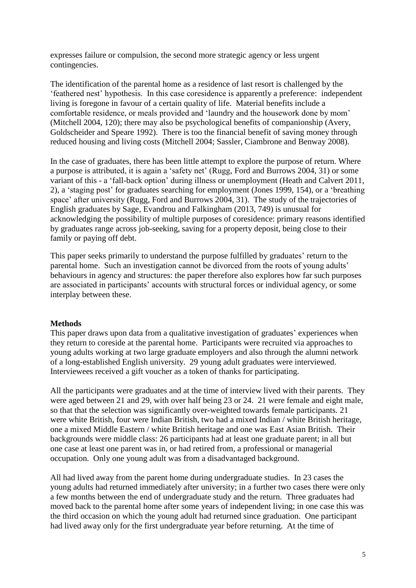expresses failure or compulsion, the second more strategic agency or less urgent contingencies.

The identification of the parental home as a residence of last resort is challenged by the 'feathered nest' hypothesis. In this case coresidence is apparently a preference: independent living is foregone in favour of a certain quality of life. Material benefits include a comfortable residence, or meals provided and 'laundry and the housework done by mom' (Mitchell 2004, 120); there may also be psychological benefits of companionship (Avery, Goldscheider and Speare 1992). There is too the financial benefit of saving money through reduced housing and living costs (Mitchell 2004; Sassler, Ciambrone and Benway 2008).

In the case of graduates, there has been little attempt to explore the purpose of return. Where a purpose is attributed, it is again a 'safety net' (Rugg, Ford and Burrows 2004, 31) or some variant of this - a 'fall-back option' during illness or unemployment (Heath and Calvert 2011, 2), a 'staging post' for graduates searching for employment (Jones 1999, 154), or a 'breathing space' after university (Rugg, Ford and Burrows 2004, 31). The study of the trajectories of English graduates by Sage, Evandrou and Falkingham (2013, 749) is unusual for acknowledging the possibility of multiple purposes of coresidence: primary reasons identified by graduates range across job-seeking, saving for a property deposit, being close to their family or paying off debt.

This paper seeks primarily to understand the purpose fulfilled by graduates' return to the parental home. Such an investigation cannot be divorced from the roots of young adults' behaviours in agency and structures: the paper therefore also explores how far such purposes are associated in participants' accounts with structural forces or individual agency, or some interplay between these.

#### **Methods**

This paper draws upon data from a qualitative investigation of graduates' experiences when they return to coreside at the parental home. Participants were recruited via approaches to young adults working at two large graduate employers and also through the alumni network of a long-established English university. 29 young adult graduates were interviewed. Interviewees received a gift voucher as a token of thanks for participating.

All the participants were graduates and at the time of interview lived with their parents. They were aged between 21 and 29, with over half being 23 or 24. 21 were female and eight male, so that that the selection was significantly over-weighted towards female participants. 21 were white British, four were Indian British, two had a mixed Indian / white British heritage, one a mixed Middle Eastern / white British heritage and one was East Asian British. Their backgrounds were middle class: 26 participants had at least one graduate parent; in all but one case at least one parent was in, or had retired from, a professional or managerial occupation. Only one young adult was from a disadvantaged background.

All had lived away from the parent home during undergraduate studies. In 23 cases the young adults had returned immediately after university; in a further two cases there were only a few months between the end of undergraduate study and the return. Three graduates had moved back to the parental home after some years of independent living; in one case this was the third occasion on which the young adult had returned since graduation. One participant had lived away only for the first undergraduate year before returning. At the time of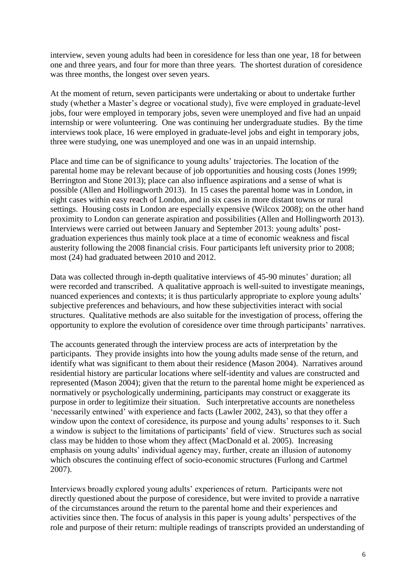interview, seven young adults had been in coresidence for less than one year, 18 for between one and three years, and four for more than three years. The shortest duration of coresidence was three months, the longest over seven years.

At the moment of return, seven participants were undertaking or about to undertake further study (whether a Master's degree or vocational study), five were employed in graduate-level jobs, four were employed in temporary jobs, seven were unemployed and five had an unpaid internship or were volunteering. One was continuing her undergraduate studies. By the time interviews took place, 16 were employed in graduate-level jobs and eight in temporary jobs, three were studying, one was unemployed and one was in an unpaid internship.

Place and time can be of significance to young adults' trajectories. The location of the parental home may be relevant because of job opportunities and housing costs (Jones 1999; Berrington and Stone 2013); place can also influence aspirations and a sense of what is possible (Allen and Hollingworth 2013). In 15 cases the parental home was in London, in eight cases within easy reach of London, and in six cases in more distant towns or rural settings. Housing costs in London are especially expensive (Wilcox 2008); on the other hand proximity to London can generate aspiration and possibilities (Allen and Hollingworth 2013). Interviews were carried out between January and September 2013: young adults' postgraduation experiences thus mainly took place at a time of economic weakness and fiscal austerity following the 2008 financial crisis. Four participants left university prior to 2008; most (24) had graduated between 2010 and 2012.

Data was collected through in-depth qualitative interviews of 45-90 minutes' duration; all were recorded and transcribed. A qualitative approach is well-suited to investigate meanings, nuanced experiences and contexts; it is thus particularly appropriate to explore young adults' subjective preferences and behaviours, and how these subjectivities interact with social structures. Qualitative methods are also suitable for the investigation of process, offering the opportunity to explore the evolution of coresidence over time through participants' narratives.

The accounts generated through the interview process are acts of interpretation by the participants. They provide insights into how the young adults made sense of the return, and identify what was significant to them about their residence (Mason 2004). Narratives around residential history are particular locations where self-identity and values are constructed and represented (Mason 2004); given that the return to the parental home might be experienced as normatively or psychologically undermining, participants may construct or exaggerate its purpose in order to legitimize their situation. Such interpretative accounts are nonetheless 'necessarily entwined' with experience and facts (Lawler 2002, 243), so that they offer a window upon the context of coresidence, its purpose and young adults' responses to it. Such a window is subject to the limitations of participants' field of view. Structures such as social class may be hidden to those whom they affect (MacDonald et al. 2005). Increasing emphasis on young adults' individual agency may, further, create an illusion of autonomy which obscures the continuing effect of socio-economic structures (Furlong and Cartmel 2007).

Interviews broadly explored young adults' experiences of return. Participants were not directly questioned about the purpose of coresidence, but were invited to provide a narrative of the circumstances around the return to the parental home and their experiences and activities since then. The focus of analysis in this paper is young adults' perspectives of the role and purpose of their return: multiple readings of transcripts provided an understanding of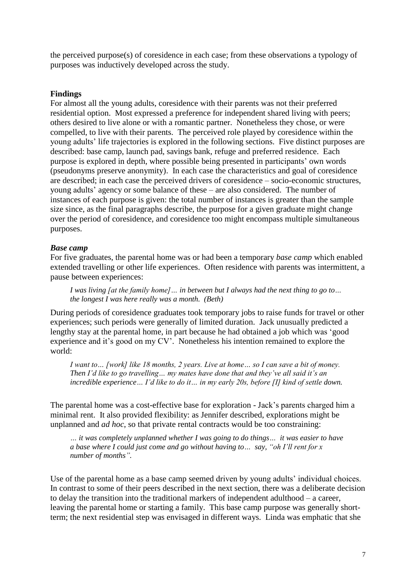the perceived purpose(s) of coresidence in each case; from these observations a typology of purposes was inductively developed across the study.

#### **Findings**

For almost all the young adults, coresidence with their parents was not their preferred residential option. Most expressed a preference for independent shared living with peers; others desired to live alone or with a romantic partner. Nonetheless they chose, or were compelled, to live with their parents. The perceived role played by coresidence within the young adults' life trajectories is explored in the following sections. Five distinct purposes are described: base camp, launch pad, savings bank, refuge and preferred residence. Each purpose is explored in depth, where possible being presented in participants' own words (pseudonyms preserve anonymity). In each case the characteristics and goal of coresidence are described; in each case the perceived drivers of coresidence – socio-economic structures, young adults' agency or some balance of these – are also considered. The number of instances of each purpose is given: the total number of instances is greater than the sample size since, as the final paragraphs describe, the purpose for a given graduate might change over the period of coresidence, and coresidence too might encompass multiple simultaneous purposes.

#### *Base camp*

For five graduates, the parental home was or had been a temporary *base camp* which enabled extended travelling or other life experiences. Often residence with parents was intermittent, a pause between experiences:

*I* was living [at the family home] ... in between but I always had the next thing to go to... *the longest I was here really was a month. (Beth)*

During periods of coresidence graduates took temporary jobs to raise funds for travel or other experiences; such periods were generally of limited duration. Jack unusually predicted a lengthy stay at the parental home, in part because he had obtained a job which was 'good experience and it's good on my CV'. Nonetheless his intention remained to explore the world:

*I want to… [work] like 18 months, 2 years. Live at home… so I can save a bit of money. Then I'd like to go travelling… my mates have done that and they've all said it's an incredible experience… I'd like to do it… in my early 20s, before [I] kind of settle down.*

The parental home was a cost-effective base for exploration - Jack's parents charged him a minimal rent. It also provided flexibility: as Jennifer described, explorations might be unplanned and *ad hoc*, so that private rental contracts would be too constraining:

*… it was completely unplanned whether I was going to do things… it was easier to have a base where I could just come and go without having to… say, "oh I'll rent for x number of months".*

Use of the parental home as a base camp seemed driven by young adults' individual choices. In contrast to some of their peers described in the next section, there was a deliberate decision to delay the transition into the traditional markers of independent adulthood – a career, leaving the parental home or starting a family. This base camp purpose was generally shortterm; the next residential step was envisaged in different ways. Linda was emphatic that she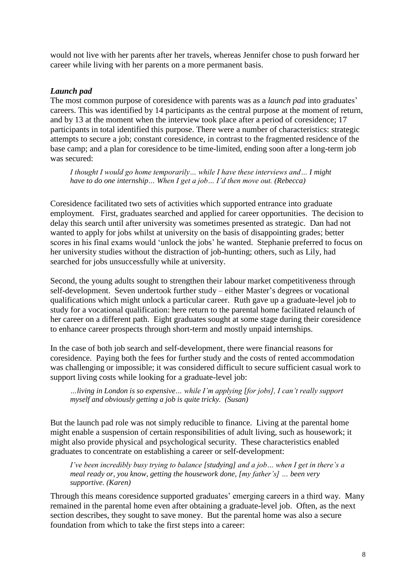would not live with her parents after her travels, whereas Jennifer chose to push forward her career while living with her parents on a more permanent basis.

#### *Launch pad*

The most common purpose of coresidence with parents was as a *launch pad* into graduates' careers. This was identified by 14 participants as the central purpose at the moment of return, and by 13 at the moment when the interview took place after a period of coresidence; 17 participants in total identified this purpose. There were a number of characteristics: strategic attempts to secure a job; constant coresidence, in contrast to the fragmented residence of the base camp; and a plan for coresidence to be time-limited, ending soon after a long-term job was secured:

*I thought I would go home temporarily… while I have these interviews and… I might have to do one internship… When I get a job… I'd then move out. (Rebecca)*

Coresidence facilitated two sets of activities which supported entrance into graduate employment. First, graduates searched and applied for career opportunities. The decision to delay this search until after university was sometimes presented as strategic. Dan had not wanted to apply for jobs whilst at university on the basis of disappointing grades; better scores in his final exams would 'unlock the jobs' he wanted. Stephanie preferred to focus on her university studies without the distraction of job-hunting; others, such as Lily, had searched for jobs unsuccessfully while at university.

Second, the young adults sought to strengthen their labour market competitiveness through self-development. Seven undertook further study – either Master's degrees or vocational qualifications which might unlock a particular career. Ruth gave up a graduate-level job to study for a vocational qualification: here return to the parental home facilitated relaunch of her career on a different path. Eight graduates sought at some stage during their coresidence to enhance career prospects through short-term and mostly unpaid internships.

In the case of both job search and self-development, there were financial reasons for coresidence. Paying both the fees for further study and the costs of rented accommodation was challenging or impossible; it was considered difficult to secure sufficient casual work to support living costs while looking for a graduate-level job:

*…living in London is so expensive… while I'm applying [for jobs], I can't really support myself and obviously getting a job is quite tricky. (Susan)*

But the launch pad role was not simply reducible to finance. Living at the parental home might enable a suspension of certain responsibilities of adult living, such as housework; it might also provide physical and psychological security. These characteristics enabled graduates to concentrate on establishing a career or self-development:

*I've been incredibly busy trying to balance [studying] and a job… when I get in there's a meal ready or, you know, getting the housework done, [my father's] … been very supportive. (Karen)*

Through this means coresidence supported graduates' emerging careers in a third way. Many remained in the parental home even after obtaining a graduate-level job. Often, as the next section describes, they sought to save money. But the parental home was also a secure foundation from which to take the first steps into a career: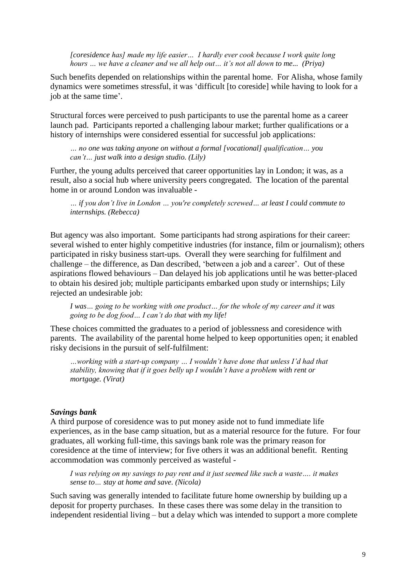*[coresidence has] made my life easier… I hardly ever cook because I work quite long hours … we have a cleaner and we all help out… it's not all down to me... (Priya)*

Such benefits depended on relationships within the parental home. For Alisha, whose family dynamics were sometimes stressful, it was 'difficult [to coreside] while having to look for a job at the same time'.

Structural forces were perceived to push participants to use the parental home as a career launch pad. Participants reported a challenging labour market; further qualifications or a history of internships were considered essential for successful job applications:

*… no one was taking anyone on without a formal [vocational] qualification… you can't… just walk into a design studio. (Lily)*

Further, the young adults perceived that career opportunities lay in London; it was, as a result, also a social hub where university peers congregated. The location of the parental home in or around London was invaluable -

*… if you don't live in London … you're completely screwed… at least I could commute to internships. (Rebecca)*

But agency was also important. Some participants had strong aspirations for their career: several wished to enter highly competitive industries (for instance, film or journalism); others participated in risky business start-ups. Overall they were searching for fulfilment and challenge – the difference, as Dan described, 'between a job and a career'. Out of these aspirations flowed behaviours – Dan delayed his job applications until he was better-placed to obtain his desired job; multiple participants embarked upon study or internships; Lily rejected an undesirable job:

*I was… going to be working with one product… for the whole of my career and it was going to be dog food… I can't do that with my life!*

These choices committed the graduates to a period of joblessness and coresidence with parents. The availability of the parental home helped to keep opportunities open; it enabled risky decisions in the pursuit of self-fulfilment:

*…working with a start-up company … I wouldn't have done that unless I'd had that stability, knowing that if it goes belly up I wouldn't have a problem with rent or mortgage. (Virat)*

#### *Savings bank*

A third purpose of coresidence was to put money aside not to fund immediate life experiences, as in the base camp situation, but as a material resource for the future. For four graduates, all working full-time, this savings bank role was the primary reason for coresidence at the time of interview; for five others it was an additional benefit. Renting accommodation was commonly perceived as wasteful -

*I was relying on my savings to pay rent and it just seemed like such a waste…. it makes sense to… stay at home and save. (Nicola)*

Such saving was generally intended to facilitate future home ownership by building up a deposit for property purchases. In these cases there was some delay in the transition to independent residential living – but a delay which was intended to support a more complete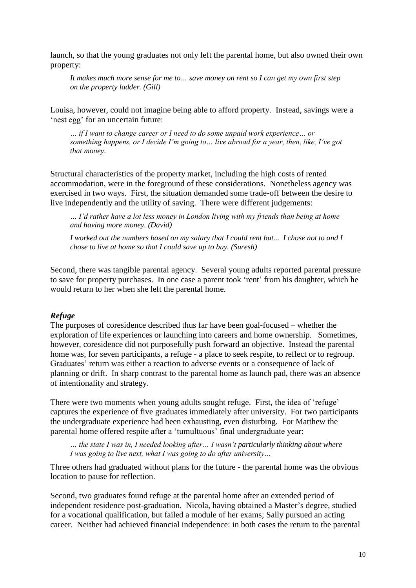launch, so that the young graduates not only left the parental home, but also owned their own property:

*It makes much more sense for me to… save money on rent so I can get my own first step on the property ladder. (Gill)*

Louisa, however, could not imagine being able to afford property. Instead, savings were a 'nest egg' for an uncertain future:

*… if I want to change career or I need to do some unpaid work experience… or something happens, or I decide I'm going to… live abroad for a year, then, like, I've got that money.* 

Structural characteristics of the property market, including the high costs of rented accommodation, were in the foreground of these considerations. Nonetheless agency was exercised in two ways. First, the situation demanded some trade-off between the desire to live independently and the utility of saving. There were different judgements:

*… I'd rather have a lot less money in London living with my friends than being at home and having more money. (David)*

*I worked out the numbers based on my salary that I could rent but... I chose not to and I chose to live at home so that I could save up to buy. (Suresh)*

Second, there was tangible parental agency. Several young adults reported parental pressure to save for property purchases. In one case a parent took 'rent' from his daughter, which he would return to her when she left the parental home.

#### *Refuge*

The purposes of coresidence described thus far have been goal-focused – whether the exploration of life experiences or launching into careers and home ownership. Sometimes, however, coresidence did not purposefully push forward an objective. Instead the parental home was, for seven participants, a refuge - a place to seek respite, to reflect or to regroup. Graduates' return was either a reaction to adverse events or a consequence of lack of planning or drift. In sharp contrast to the parental home as launch pad, there was an absence of intentionality and strategy.

There were two moments when young adults sought refuge. First, the idea of 'refuge' captures the experience of five graduates immediately after university. For two participants the undergraduate experience had been exhausting, even disturbing. For Matthew the parental home offered respite after a 'tumultuous' final undergraduate year:

*… the state I was in, I needed looking after… I wasn't particularly thinking about where I was going to live next, what I was going to do after university…* 

Three others had graduated without plans for the future - the parental home was the obvious location to pause for reflection.

Second, two graduates found refuge at the parental home after an extended period of independent residence post-graduation. Nicola, having obtained a Master's degree, studied for a vocational qualification, but failed a module of her exams; Sally pursued an acting career. Neither had achieved financial independence: in both cases the return to the parental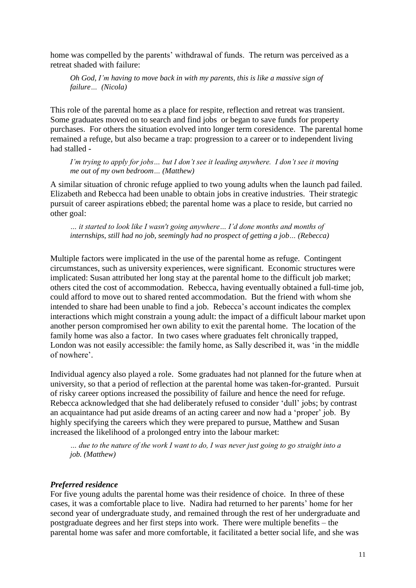home was compelled by the parents' withdrawal of funds. The return was perceived as a retreat shaded with failure:

*Oh God, I'm having to move back in with my parents, this is like a massive sign of failure… (Nicola)*

This role of the parental home as a place for respite, reflection and retreat was transient. Some graduates moved on to search and find jobs or began to save funds for property purchases. For others the situation evolved into longer term coresidence. The parental home remained a refuge, but also became a trap: progression to a career or to independent living had stalled -

*I'm trying to apply for jobs... but I don't see it leading anywhere. I don't see it moving me out of my own bedroom… (Matthew)*

A similar situation of chronic refuge applied to two young adults when the launch pad failed. Elizabeth and Rebecca had been unable to obtain jobs in creative industries. Their strategic pursuit of career aspirations ebbed; the parental home was a place to reside, but carried no other goal:

*… it started to look like I wasn't going anywhere… I'd done months and months of internships, still had no job, seemingly had no prospect of getting a job… (Rebecca)*

Multiple factors were implicated in the use of the parental home as refuge. Contingent circumstances, such as university experiences, were significant. Economic structures were implicated: Susan attributed her long stay at the parental home to the difficult job market; others cited the cost of accommodation. Rebecca, having eventually obtained a full-time job, could afford to move out to shared rented accommodation. But the friend with whom she intended to share had been unable to find a job. Rebecca's account indicates the complex interactions which might constrain a young adult: the impact of a difficult labour market upon another person compromised her own ability to exit the parental home. The location of the family home was also a factor. In two cases where graduates felt chronically trapped, London was not easily accessible: the family home, as Sally described it, was 'in the middle of nowhere'.

Individual agency also played a role. Some graduates had not planned for the future when at university, so that a period of reflection at the parental home was taken-for-granted. Pursuit of risky career options increased the possibility of failure and hence the need for refuge. Rebecca acknowledged that she had deliberately refused to consider 'dull' jobs; by contrast an acquaintance had put aside dreams of an acting career and now had a 'proper' job. By highly specifying the careers which they were prepared to pursue, Matthew and Susan increased the likelihood of a prolonged entry into the labour market:

*… due to the nature of the work I want to do, I was never just going to go straight into a job. (Matthew)*

#### *Preferred residence*

For five young adults the parental home was their residence of choice. In three of these cases, it was a comfortable place to live. Nadira had returned to her parents' home for her second year of undergraduate study, and remained through the rest of her undergraduate and postgraduate degrees and her first steps into work. There were multiple benefits – the parental home was safer and more comfortable, it facilitated a better social life, and she was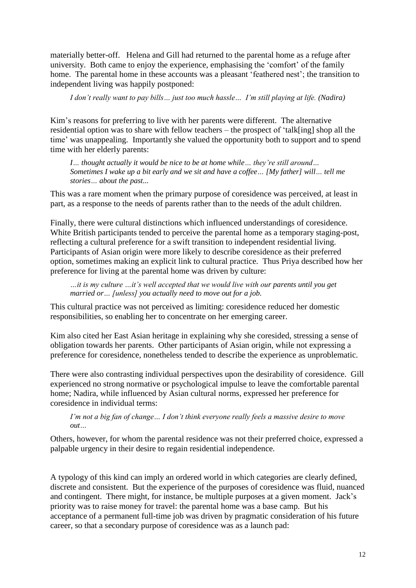materially better-off. Helena and Gill had returned to the parental home as a refuge after university. Both came to enjoy the experience, emphasising the 'comfort' of the family home. The parental home in these accounts was a pleasant 'feathered nest'; the transition to independent living was happily postponed:

*I don't really want to pay bills… just too much hassle… I'm still playing at life. (Nadira)*

Kim's reasons for preferring to live with her parents were different. The alternative residential option was to share with fellow teachers – the prospect of 'talk[ing] shop all the time' was unappealing. Importantly she valued the opportunity both to support and to spend time with her elderly parents:

*I… thought actually it would be nice to be at home while… they're still around… Sometimes I wake up a bit early and we sit and have a coffee… [My father] will… tell me stories… about the past...*

This was a rare moment when the primary purpose of coresidence was perceived, at least in part, as a response to the needs of parents rather than to the needs of the adult children.

Finally, there were cultural distinctions which influenced understandings of coresidence. White British participants tended to perceive the parental home as a temporary staging-post, reflecting a cultural preference for a swift transition to independent residential living. Participants of Asian origin were more likely to describe coresidence as their preferred option, sometimes making an explicit link to cultural practice. Thus Priya described how her preference for living at the parental home was driven by culture:

*…it is my culture …it's well accepted that we would live with our parents until you get married or… [unless] you actually need to move out for a job.*

This cultural practice was not perceived as limiting: coresidence reduced her domestic responsibilities, so enabling her to concentrate on her emerging career.

Kim also cited her East Asian heritage in explaining why she coresided, stressing a sense of obligation towards her parents. Other participants of Asian origin, while not expressing a preference for coresidence, nonetheless tended to describe the experience as unproblematic.

There were also contrasting individual perspectives upon the desirability of coresidence. Gill experienced no strong normative or psychological impulse to leave the comfortable parental home; Nadira, while influenced by Asian cultural norms, expressed her preference for coresidence in individual terms:

*I'm not a big fan of change… I don't think everyone really feels a massive desire to move out…* 

Others, however, for whom the parental residence was not their preferred choice, expressed a palpable urgency in their desire to regain residential independence.

A typology of this kind can imply an ordered world in which categories are clearly defined, discrete and consistent. But the experience of the purposes of coresidence was fluid, nuanced and contingent. There might, for instance, be multiple purposes at a given moment. Jack's priority was to raise money for travel: the parental home was a base camp. But his acceptance of a permanent full-time job was driven by pragmatic consideration of his future career, so that a secondary purpose of coresidence was as a launch pad: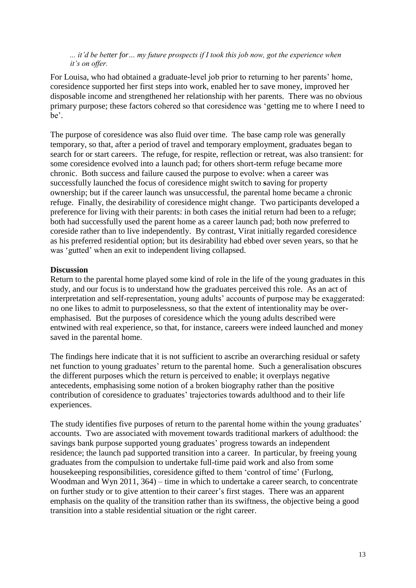*... it'd be better for… my future prospects if I took this job now, got the experience when it's on offer.*

For Louisa, who had obtained a graduate-level job prior to returning to her parents' home, coresidence supported her first steps into work, enabled her to save money, improved her disposable income and strengthened her relationship with her parents. There was no obvious primary purpose; these factors cohered so that coresidence was 'getting me to where I need to be'.

The purpose of coresidence was also fluid over time. The base camp role was generally temporary, so that, after a period of travel and temporary employment, graduates began to search for or start careers. The refuge, for respite, reflection or retreat, was also transient: for some coresidence evolved into a launch pad; for others short-term refuge became more chronic. Both success and failure caused the purpose to evolve: when a career was successfully launched the focus of coresidence might switch to **s**aving for property ownership; but if the career launch was unsuccessful, the parental home became a chronic refuge. Finally, the desirability of coresidence might change. Two participants developed a preference for living with their parents: in both cases the initial return had been to a refuge; both had successfully used the parent home as a career launch pad; both now preferred to coreside rather than to live independently. By contrast, Virat initially regarded coresidence as his preferred residential option; but its desirability had ebbed over seven years, so that he was 'gutted' when an exit to independent living collapsed.

#### **Discussion**

Return to the parental home played some kind of role in the life of the young graduates in this study, and our focus is to understand how the graduates perceived this role. As an act of interpretation and self-representation, young adults' accounts of purpose may be exaggerated: no one likes to admit to purposelessness, so that the extent of intentionality may be overemphasised. But the purposes of coresidence which the young adults described were entwined with real experience, so that, for instance, careers were indeed launched and money saved in the parental home.

The findings here indicate that it is not sufficient to ascribe an overarching residual or safety net function to young graduates' return to the parental home. Such a generalisation obscures the different purposes which the return is perceived to enable; it overplays negative antecedents, emphasising some notion of a broken biography rather than the positive contribution of coresidence to graduates' trajectories towards adulthood and to their life experiences.

The study identifies five purposes of return to the parental home within the young graduates' accounts. Two are associated with movement towards traditional markers of adulthood: the savings bank purpose supported young graduates' progress towards an independent residence; the launch pad supported transition into a career. In particular, by freeing young graduates from the compulsion to undertake full-time paid work and also from some housekeeping responsibilities, coresidence gifted to them 'control of time' (Furlong, Woodman and Wyn 2011, 364) – time in which to undertake a career search, to concentrate on further study or to give attention to their career's first stages. There was an apparent emphasis on the quality of the transition rather than its swiftness, the objective being a good transition into a stable residential situation or the right career.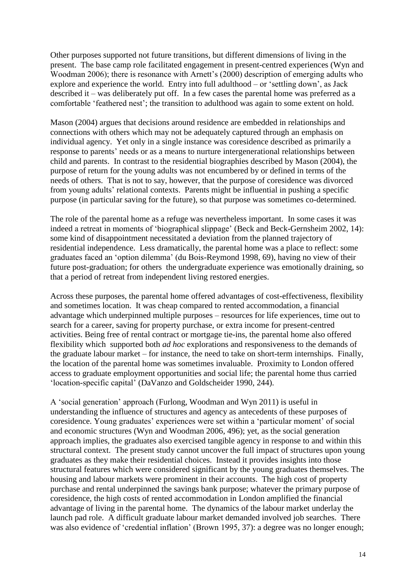Other purposes supported not future transitions, but different dimensions of living in the present. The base camp role facilitated engagement in present-centred experiences (Wyn and Woodman 2006); there is resonance with Arnett's (2000) description of emerging adults who explore and experience the world. Entry into full adulthood – or 'settling down', as Jack described it – was deliberately put off. In a few cases the parental home was preferred as a comfortable 'feathered nest'; the transition to adulthood was again to some extent on hold.

Mason (2004) argues that decisions around residence are embedded in relationships and connections with others which may not be adequately captured through an emphasis on individual agency. Yet only in a single instance was coresidence described as primarily a response to parents' needs or as a means to nurture intergenerational relationships between child and parents. In contrast to the residential biographies described by Mason (2004), the purpose of return for the young adults was not encumbered by or defined in terms of the needs of others. That is not to say, however, that the purpose of coresidence was divorced from young adults' relational contexts. Parents might be influential in pushing a specific purpose (in particular saving for the future), so that purpose was sometimes co-determined.

The role of the parental home as a refuge was nevertheless important. In some cases it was indeed a retreat in moments of 'biographical slippage' (Beck and Beck-Gernsheim 2002, 14): some kind of disappointment necessitated a deviation from the planned trajectory of residential independence. Less dramatically, the parental home was a place to reflect: some graduates faced an 'option dilemma' (du Bois-Reymond 1998, 69), having no view of their future post-graduation; for others the undergraduate experience was emotionally draining, so that a period of retreat from independent living restored energies.

Across these purposes, the parental home offered advantages of cost-effectiveness, flexibility and sometimes location. It was cheap compared to rented accommodation, a financial advantage which underpinned multiple purposes – resources for life experiences, time out to search for a career, saving for property purchase, or extra income for present-centred activities. Being free of rental contract or mortgage tie-ins, the parental home also offered flexibility which supported both *ad hoc* explorations and responsiveness to the demands of the graduate labour market – for instance, the need to take on short-term internships. Finally, the location of the parental home was sometimes invaluable. Proximity to London offered access to graduate employment opportunities and social life; the parental home thus carried 'location-specific capital' (DaVanzo and Goldscheider 1990, 244).

A 'social generation' approach (Furlong, Woodman and Wyn 2011) is useful in understanding the influence of structures and agency as antecedents of these purposes of coresidence. Young graduates' experiences were set within a 'particular moment' of social and economic structures (Wyn and Woodman 2006, 496); yet, as the social generation approach implies, the graduates also exercised tangible agency in response to and within this structural context. The present study cannot uncover the full impact of structures upon young graduates as they make their residential choices. Instead it provides insights into those structural features which were considered significant by the young graduates themselves. The housing and labour markets were prominent in their accounts. The high cost of property purchase and rental underpinned the savings bank purpose; whatever the primary purpose of coresidence, the high costs of rented accommodation in London amplified the financial advantage of living in the parental home. The dynamics of the labour market underlay the launch pad role. A difficult graduate labour market demanded involved job searches. There was also evidence of 'credential inflation' (Brown 1995, 37): a degree was no longer enough;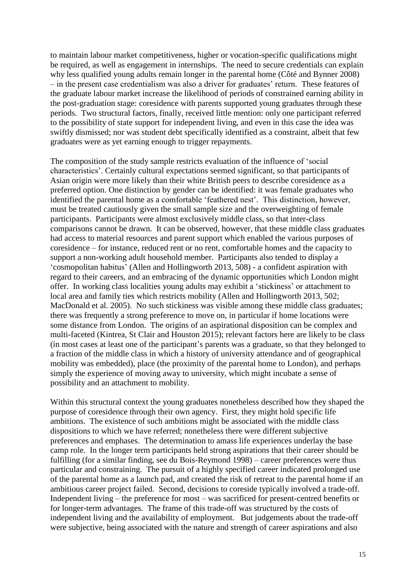to maintain labour market competitiveness, higher or vocation-specific qualifications might be required, as well as engagement in internships. The need to secure credentials can explain why less qualified young adults remain longer in the parental home (Côté and Bynner 2008) – in the present case credentialism was also a driver for graduates' return. These features of the graduate labour market increase the likelihood of periods of constrained earning ability in the post-graduation stage: coresidence with parents supported young graduates through these periods. Two structural factors, finally, received little mention: only one participant referred to the possibility of state support for independent living, and even in this case the idea was swiftly dismissed; nor was student debt specifically identified as a constraint, albeit that few graduates were as yet earning enough to trigger repayments.

The composition of the study sample restricts evaluation of the influence of 'social characteristics'. Certainly cultural expectations seemed significant, so that participants of Asian origin were more likely than their white British peers to describe coresidence as a preferred option. One distinction by gender can be identified: it was female graduates who identified the parental home as a comfortable 'feathered nest'. This distinction, however, must be treated cautiously given the small sample size and the overweighting of female participants. Participants were almost exclusively middle class, so that inter-class comparisons cannot be drawn. It can be observed, however, that these middle class graduates had access to material resources and parent support which enabled the various purposes of coresidence – for instance, reduced rent or no rent, comfortable homes and the capacity to support a non-working adult household member. Participants also tended to display a 'cosmopolitan habitus' (Allen and Hollingworth 2013, 508) - a confident aspiration with regard to their careers, and an embracing of the dynamic opportunities which London might offer. In working class localities young adults may exhibit a 'stickiness' or attachment to local area and family ties which restricts mobility (Allen and Hollingworth 2013, 502; MacDonald et al. 2005). No such stickiness was visible among these middle class graduates; there was frequently a strong preference to move on, in particular if home locations were some distance from London. The origins of an aspirational disposition can be complex and multi-faceted (Kintrea, St Clair and Houston 2015); relevant factors here are likely to be class (in most cases at least one of the participant's parents was a graduate, so that they belonged to a fraction of the middle class in which a history of university attendance and of geographical mobility was embedded), place (the proximity of the parental home to London), and perhaps simply the experience of moving away to university, which might incubate a sense of possibility and an attachment to mobility.

Within this structural context the young graduates nonetheless described how they shaped the purpose of coresidence through their own agency. First, they might hold specific life ambitions. The existence of such ambitions might be associated with the middle class dispositions to which we have referred; nonetheless there were different subjective preferences and emphases. The determination to amass life experiences underlay the base camp role. In the longer term participants held strong aspirations that their career should be fulfilling (for a similar finding, see du Bois-Reymond 1998) – career preferences were thus particular and constraining. The pursuit of a highly specified career indicated prolonged use of the parental home as a launch pad, and created the risk of retreat to the parental home if an ambitious career project failed. Second, decisions to coreside typically involved a trade-off. Independent living – the preference for most – was sacrificed for present-centred benefits or for longer-term advantages. The frame of this trade-off was structured by the costs of independent living and the availability of employment. But judgements about the trade-off were subjective, being associated with the nature and strength of career aspirations and also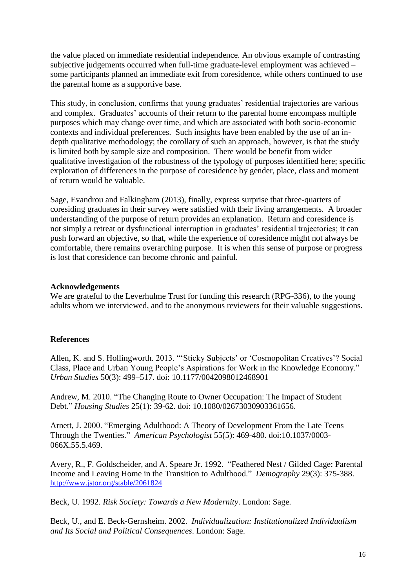the value placed on immediate residential independence. An obvious example of contrasting subjective judgements occurred when full-time graduate-level employment was achieved – some participants planned an immediate exit from coresidence, while others continued to use the parental home as a supportive base.

This study, in conclusion, confirms that young graduates' residential trajectories are various and complex. Graduates' accounts of their return to the parental home encompass multiple purposes which may change over time, and which are associated with both socio-economic contexts and individual preferences. Such insights have been enabled by the use of an indepth qualitative methodology; the corollary of such an approach, however, is that the study is limited both by sample size and composition. There would be benefit from wider qualitative investigation of the robustness of the typology of purposes identified here; specific exploration of differences in the purpose of coresidence by gender, place, class and moment of return would be valuable.

Sage, Evandrou and Falkingham (2013), finally, express surprise that three-quarters of coresiding graduates in their survey were satisfied with their living arrangements. A broader understanding of the purpose of return provides an explanation. Return and coresidence is not simply a retreat or dysfunctional interruption in graduates' residential trajectories; it can push forward an objective, so that, while the experience of coresidence might not always be comfortable, there remains overarching purpose. It is when this sense of purpose or progress is lost that coresidence can become chronic and painful.

#### **Acknowledgements**

We are grateful to the Leverhulme Trust for funding this research (RPG-336), to the young adults whom we interviewed, and to the anonymous reviewers for their valuable suggestions.

#### **References**

Allen, K. and S. Hollingworth. 2013. "'Sticky Subjects' or 'Cosmopolitan Creatives'? Social Class, Place and Urban Young People's Aspirations for Work in the Knowledge Economy." *Urban Studies* 50(3): 499–517. doi: 10.1177/0042098012468901

Andrew, M. 2010. "The Changing Route to Owner Occupation: The Impact of Student Debt." *Housing Studies* 25(1): 39-62. doi: 10.1080/02673030903361656.

Arnett, J. 2000. "Emerging Adulthood: A Theory of Development From the Late Teens Through the Twenties." *American Psychologist* 55(5): 469-480. doi:10.1037/0003- 066X.55.5.469.

Avery, R., F. Goldscheider, and A. Speare Jr. 1992. "Feathered Nest / Gilded Cage: Parental Income and Leaving Home in the Transition to Adulthood." *Demography* 29(3): 375-388. <http://www.jstor.org/stable/2061824>

Beck, U. 1992. *Risk Society: Towards a New Modernity*. London: Sage.

Beck, U., and E. Beck-Gernsheim. 2002. *Individualization: Institutionalized Individualism and Its Social and Political Consequences*. London: Sage.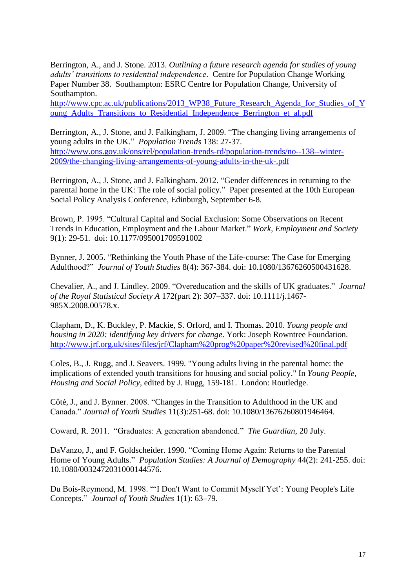Berrington, A., and J. Stone. 2013. *Outlining a future research agenda for studies of young adults' transitions to residential independence*. Centre for Population Change Working Paper Number 38. Southampton: ESRC Centre for Population Change, University of Southampton.

http://www.cpc.ac.uk/publications/2013 WP38 Future Research Agenda for Studies of Y [oung\\_Adults\\_Transitions\\_to\\_Residential\\_Independence\\_Berrington\\_et\\_al.pdf](http://www.cpc.ac.uk/publications/2013_WP38_Future_Research_Agenda_for_Studies_of_Young_Adults_Transitions_to_Residential_Independence_Berrington_et_al.pdf)

Berrington, A., J. Stone, and J. Falkingham, J. 2009. "The changing living arrangements of young adults in the UK." *Population Trends* 138: 27-37. [http://www.ons.gov.uk/ons/rel/population-trends-rd/population-trends/no--138--winter-](http://www.ons.gov.uk/ons/rel/population-trends-rd/population-trends/no--138--winter-2009/the-changing-living-arrangements-of-young-adults-in-the-uk-.pdf)[2009/the-changing-living-arrangements-of-young-adults-in-the-uk-.pdf](http://www.ons.gov.uk/ons/rel/population-trends-rd/population-trends/no--138--winter-2009/the-changing-living-arrangements-of-young-adults-in-the-uk-.pdf)

Berrington, A., J. Stone, and J. Falkingham. 2012. "Gender differences in returning to the parental home in the UK: The role of social policy." Paper presented at the 10th European Social Policy Analysis Conference, Edinburgh, September 6-8.

Brown, P. 1995. "Cultural Capital and Social Exclusion: Some Observations on Recent Trends in Education, Employment and the Labour Market." *Work, Employment and Society* 9(1): 29-51. doi: 10.1177/095001709591002

Bynner, J. 2005. "Rethinking the Youth Phase of the Life-course: The Case for Emerging Adulthood?" *Journal of Youth Studies* 8(4): 367-384. doi: 10.1080/13676260500431628.

Chevalier, A., and J. Lindley. 2009. "Overeducation and the skills of UK graduates." *Journal of the Royal Statistical Society A* 172(part 2): 307–337. doi: 10.1111/j.1467- 985X.2008.00578.x.

Clapham, D., K. Buckley, P. Mackie, S. Orford, and I. Thomas. 2010. *Young people and housing in 2020: identifying key drivers for change*. York: Joseph Rowntree Foundation. <http://www.jrf.org.uk/sites/files/jrf/Clapham%20prog%20paper%20revised%20final.pdf>

Coles, B., J. Rugg, and J. Seavers. 1999. "Young adults living in the parental home: the implications of extended youth transitions for housing and social policy." In *Young People, Housing and Social Policy*, edited by J. Rugg, 159-181. London: Routledge.

Côté, J., and J. Bynner. 2008. "Changes in the Transition to Adulthood in the UK and Canada." *Journal of Youth Studies* 11(3):251-68. doi: 10.1080/13676260801946464.

Coward, R. 2011. "Graduates: A generation abandoned." *The Guardian*, 20 July.

DaVanzo, J., and F. Goldscheider. 1990. "Coming Home Again: Returns to the Parental Home of Young Adults." *Population Studies: A Journal of Demography* 44(2): 241-255. doi: 10.1080/0032472031000144576.

Du Bois-Reymond, M. 1998. "'I Don't Want to Commit Myself Yet': Young People's Life Concepts." *Journal of Youth Studies* 1(1): 63–79.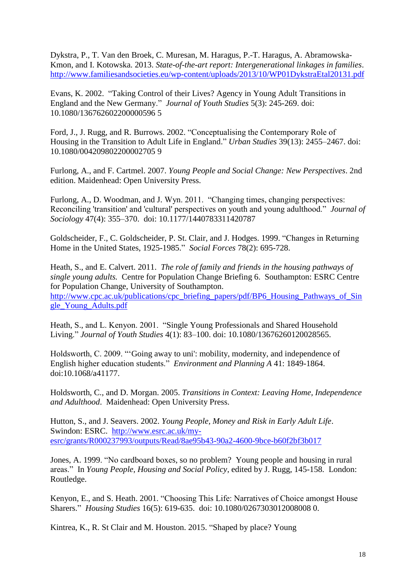Dykstra, P., T. Van den Broek, C. Muresan, M. Haragus, P.-T. Haragus, A. Abramowska-Kmon, and I. Kotowska. 2013. *State-of-the-art report: Intergenerational linkages in families*. <http://www.familiesandsocieties.eu/wp-content/uploads/2013/10/WP01DykstraEtal20131.pdf>

Evans, K. 2002. "Taking Control of their Lives? Agency in Young Adult Transitions in England and the New Germany." *Journal of Youth Studies* 5(3): 245-269. doi: 10.1080/136762602200000596 5

Ford, J., J. Rugg, and R. Burrows. 2002. "Conceptualising the Contemporary Role of Housing in the Transition to Adult Life in England." *Urban Studies* 39(13): 2455–2467. doi: 10.1080/004209802200002705 9

Furlong, A., and F. Cartmel. 2007. *Young People and Social Change: New Perspectives*. 2nd edition. Maidenhead: Open University Press.

Furlong, A., D. Woodman, and J. Wyn. 2011. "Changing times, changing perspectives: Reconciling 'transition' and 'cultural' perspectives on youth and young adulthood." *Journal of Sociology* 47(4): 355–370. doi: 10.1177/1440783311420787

Goldscheider, F., C. Goldscheider, P. St. Clair, and J. Hodges. 1999. "Changes in Returning Home in the United States, 1925-1985." *Social Forces* 78(2): 695-728.

Heath, S., and E. Calvert. 2011. *The role of family and friends in the housing pathways of single young adults.* Centre for Population Change Briefing 6. Southampton: ESRC Centre for Population Change, University of Southampton. [http://www.cpc.ac.uk/publications/cpc\\_briefing\\_papers/pdf/BP6\\_Housing\\_Pathways\\_of\\_Sin](http://www.cpc.ac.uk/publications/cpc_briefing_papers/pdf/BP6_Housing_Pathways_of_Single_Young_Adults.pdf) [gle\\_Young\\_Adults.pdf](http://www.cpc.ac.uk/publications/cpc_briefing_papers/pdf/BP6_Housing_Pathways_of_Single_Young_Adults.pdf)

Heath, S., and L. Kenyon. 2001. "Single Young Professionals and Shared Household Living." *Journal of Youth Studies* 4(1): 83–100. doi: 10.1080/13676260120028565.

Holdsworth, C. 2009. "'Going away to uni': mobility, modernity, and independence of English higher education students." *Environment and Planning A* 41: 1849-1864. doi:10.1068/a41177.

Holdsworth, C., and D. Morgan. 2005. *Transitions in Context: Leaving Home, Independence and Adulthood*. Maidenhead: Open University Press.

Hutton, S., and J. Seavers. 2002. *Young People, Money and Risk in Early Adult Life*. Swindon: ESRC. [http://www.esrc.ac.uk/my](http://www.esrc.ac.uk/my-esrc/grants/R000237993/outputs/Read/8ae95b43-90a2-4600-9bce-b60f2bf3b017)[esrc/grants/R000237993/outputs/Read/8ae95b43-90a2-4600-9bce-b60f2bf3b017](http://www.esrc.ac.uk/my-esrc/grants/R000237993/outputs/Read/8ae95b43-90a2-4600-9bce-b60f2bf3b017)

Jones, A. 1999. "No cardboard boxes, so no problem? Young people and housing in rural areas." In *Young People, Housing and Social Policy*, edited by J. Rugg, 145-158. London: Routledge.

Kenyon, E., and S. Heath. 2001. "Choosing This Life: Narratives of Choice amongst House Sharers." *Housing Studies* 16(5): 619-635. doi: 10.1080/0267303012008008 0.

Kintrea, K., R. St Clair and M. Houston. 2015. "Shaped by place? Young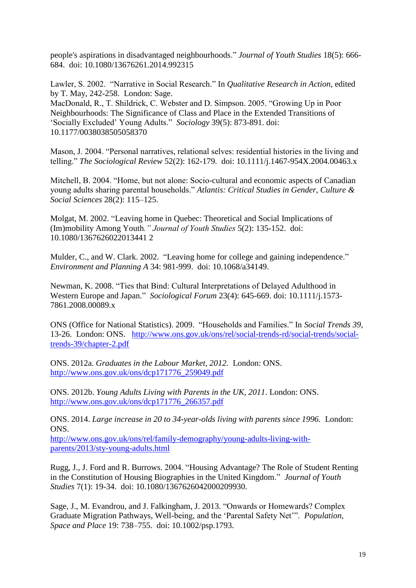people's aspirations in disadvantaged neighbourhoods." *Journal of Youth Studies* 18(5): 666- 684. doi: 10.1080/13676261.2014.992315

Lawler, S. 2002. "Narrative in Social Research." In *Qualitative Research in Action*, edited by T. May, 242-258. London: Sage.

MacDonald, R., T. Shildrick, C. Webster and D. Simpson. 2005. "Growing Up in Poor Neighbourhoods: The Significance of Class and Place in the Extended Transitions of 'Socially Excluded' Young Adults." *Sociology* 39(5): 873-891. doi: 10.1177/0038038505058370

Mason, J. 2004. "Personal narratives, relational selves: residential histories in the living and telling." *The Sociological Review* 52(2): 162-179. doi: 10.1111/j.1467-954X.2004.00463.x

Mitchell, B. 2004. "Home, but not alone: Socio-cultural and economic aspects of Canadian young adults sharing parental households." *Atlantis: Critical Studies in Gender, Culture & Social Sciences* 28(2): 115–125.

Molgat, M. 2002. "Leaving home in Quebec: Theoretical and Social Implications of (Im)mobility Among Youth*." Journal of Youth Studies* 5(2): 135-152. doi: 10.1080/1367626022013441 2

Mulder, C., and W. Clark. 2002. "Leaving home for college and gaining independence." *Environment and Planning A* 34: 981-999. doi: 10.1068/a34149.

Newman, K. 2008. "Ties that Bind: Cultural Interpretations of Delayed Adulthood in Western Europe and Japan." *Sociological Forum* 23(4): 645-669. doi: 10.1111/j.1573- 7861.2008.00089.x

ONS (Office for National Statistics). 2009. "Households and Families." In *Social Trends 39*, 13-26. London: ONS. [http://www.ons.gov.uk/ons/rel/social-trends-rd/social-trends/social](http://www.ons.gov.uk/ons/rel/social-trends-rd/social-trends/social-trends-39/chapter-2.pdf)[trends-39/chapter-2.pdf](http://www.ons.gov.uk/ons/rel/social-trends-rd/social-trends/social-trends-39/chapter-2.pdf)

ONS. 2012a. *Graduates in the Labour Market, 2012.* London: ONS. [http://www.ons.gov.uk/ons/dcp171776\\_259049.pdf](http://www.ons.gov.uk/ons/dcp171776_259049.pdf)

ONS. 2012b. *Young Adults Living with Parents in the UK, 2011*. London: ONS. [http://www.ons.gov.uk/ons/dcp171776\\_266357.pdf](http://www.ons.gov.uk/ons/dcp171776_266357.pdf)

ONS. 2014. *Large increase in 20 to 34-year-olds living with parents since 1996.* London: ONS.

[http://www.ons.gov.uk/ons/rel/family-demography/young-adults-living-with](http://www.ons.gov.uk/ons/rel/family-demography/young-adults-living-with-parents/2013/sty-young-adults.html)[parents/2013/sty-young-adults.html](http://www.ons.gov.uk/ons/rel/family-demography/young-adults-living-with-parents/2013/sty-young-adults.html)

Rugg, J., J. Ford and R. Burrows. 2004. "Housing Advantage? The Role of Student Renting in the Constitution of Housing Biographies in the United Kingdom." *Journal of Youth Studies* 7(1): 19-34. doi: 10.1080/1367626042000209930.

Sage, J., M. Evandrou, and J. Falkingham, J. 2013. "Onwards or Homewards? Complex Graduate Migration Pathways, Well-being, and the 'Parental Safety Net'". *Population, Space and Place* 19: 738–755. doi: 10.1002/psp.1793.